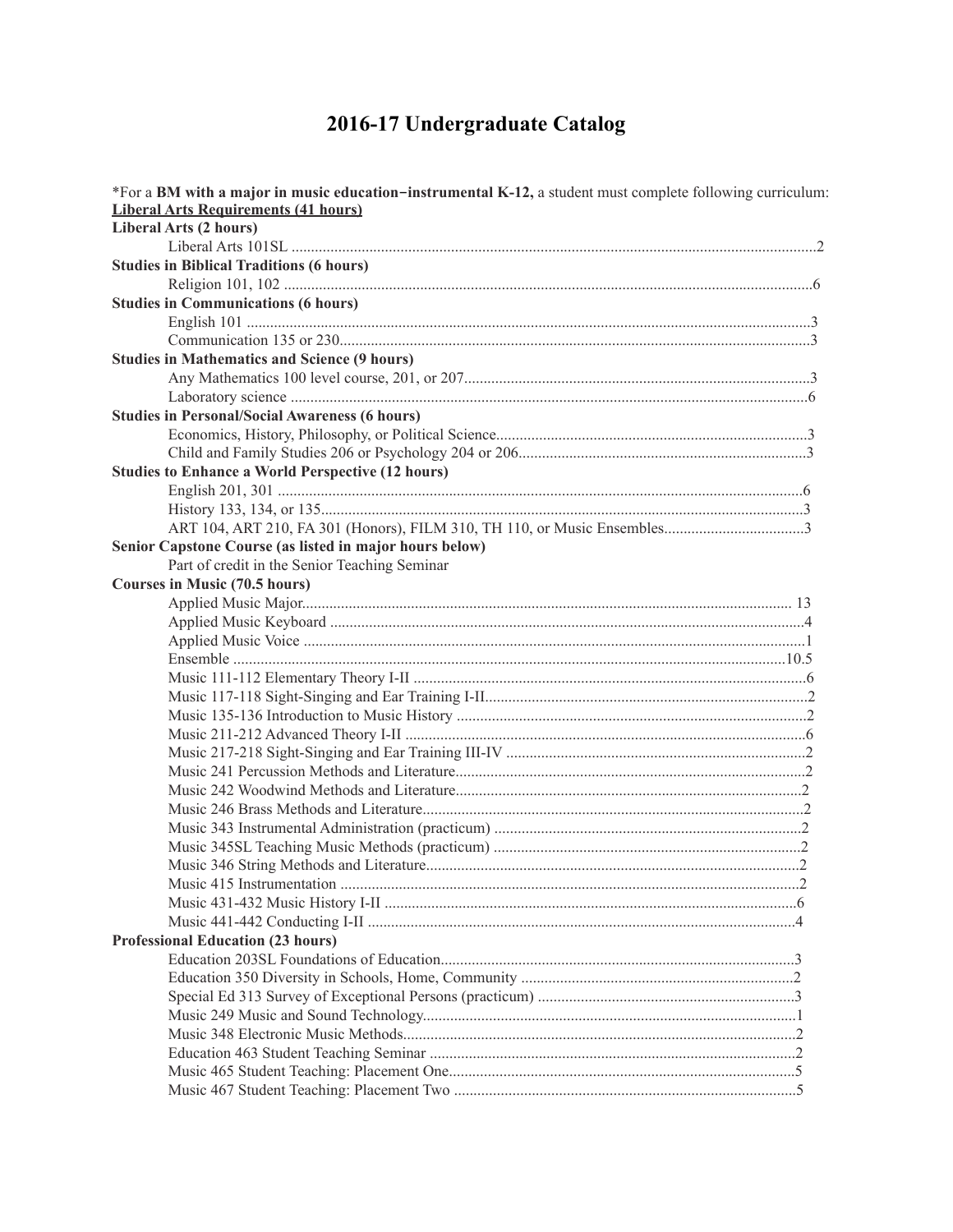## 2016-17 Undergraduate Catalog

| <b>Liberal Arts Requirements (41 hours)</b><br>Liberal Arts (2 hours)<br><b>Studies in Biblical Traditions (6 hours)</b><br><b>Studies in Communications (6 hours)</b><br><b>Studies in Mathematics and Science (9 hours)</b><br><b>Studies in Personal/Social Awareness (6 hours)</b><br><b>Studies to Enhance a World Perspective (12 hours)</b><br>Senior Capstone Course (as listed in major hours below)<br>Part of credit in the Senior Teaching Seminar |
|----------------------------------------------------------------------------------------------------------------------------------------------------------------------------------------------------------------------------------------------------------------------------------------------------------------------------------------------------------------------------------------------------------------------------------------------------------------|
|                                                                                                                                                                                                                                                                                                                                                                                                                                                                |
|                                                                                                                                                                                                                                                                                                                                                                                                                                                                |
|                                                                                                                                                                                                                                                                                                                                                                                                                                                                |
|                                                                                                                                                                                                                                                                                                                                                                                                                                                                |
|                                                                                                                                                                                                                                                                                                                                                                                                                                                                |
|                                                                                                                                                                                                                                                                                                                                                                                                                                                                |
|                                                                                                                                                                                                                                                                                                                                                                                                                                                                |
|                                                                                                                                                                                                                                                                                                                                                                                                                                                                |
|                                                                                                                                                                                                                                                                                                                                                                                                                                                                |
|                                                                                                                                                                                                                                                                                                                                                                                                                                                                |
|                                                                                                                                                                                                                                                                                                                                                                                                                                                                |
|                                                                                                                                                                                                                                                                                                                                                                                                                                                                |
|                                                                                                                                                                                                                                                                                                                                                                                                                                                                |
|                                                                                                                                                                                                                                                                                                                                                                                                                                                                |
|                                                                                                                                                                                                                                                                                                                                                                                                                                                                |
|                                                                                                                                                                                                                                                                                                                                                                                                                                                                |
|                                                                                                                                                                                                                                                                                                                                                                                                                                                                |
|                                                                                                                                                                                                                                                                                                                                                                                                                                                                |
|                                                                                                                                                                                                                                                                                                                                                                                                                                                                |
|                                                                                                                                                                                                                                                                                                                                                                                                                                                                |
| Courses in Music (70.5 hours)                                                                                                                                                                                                                                                                                                                                                                                                                                  |
|                                                                                                                                                                                                                                                                                                                                                                                                                                                                |
|                                                                                                                                                                                                                                                                                                                                                                                                                                                                |
|                                                                                                                                                                                                                                                                                                                                                                                                                                                                |
|                                                                                                                                                                                                                                                                                                                                                                                                                                                                |
|                                                                                                                                                                                                                                                                                                                                                                                                                                                                |
|                                                                                                                                                                                                                                                                                                                                                                                                                                                                |
|                                                                                                                                                                                                                                                                                                                                                                                                                                                                |
|                                                                                                                                                                                                                                                                                                                                                                                                                                                                |
|                                                                                                                                                                                                                                                                                                                                                                                                                                                                |
|                                                                                                                                                                                                                                                                                                                                                                                                                                                                |
|                                                                                                                                                                                                                                                                                                                                                                                                                                                                |
|                                                                                                                                                                                                                                                                                                                                                                                                                                                                |
|                                                                                                                                                                                                                                                                                                                                                                                                                                                                |
|                                                                                                                                                                                                                                                                                                                                                                                                                                                                |
|                                                                                                                                                                                                                                                                                                                                                                                                                                                                |
|                                                                                                                                                                                                                                                                                                                                                                                                                                                                |
|                                                                                                                                                                                                                                                                                                                                                                                                                                                                |
|                                                                                                                                                                                                                                                                                                                                                                                                                                                                |
| <b>Professional Education (23 hours)</b>                                                                                                                                                                                                                                                                                                                                                                                                                       |
|                                                                                                                                                                                                                                                                                                                                                                                                                                                                |
|                                                                                                                                                                                                                                                                                                                                                                                                                                                                |
|                                                                                                                                                                                                                                                                                                                                                                                                                                                                |
|                                                                                                                                                                                                                                                                                                                                                                                                                                                                |
|                                                                                                                                                                                                                                                                                                                                                                                                                                                                |
|                                                                                                                                                                                                                                                                                                                                                                                                                                                                |
|                                                                                                                                                                                                                                                                                                                                                                                                                                                                |
|                                                                                                                                                                                                                                                                                                                                                                                                                                                                |